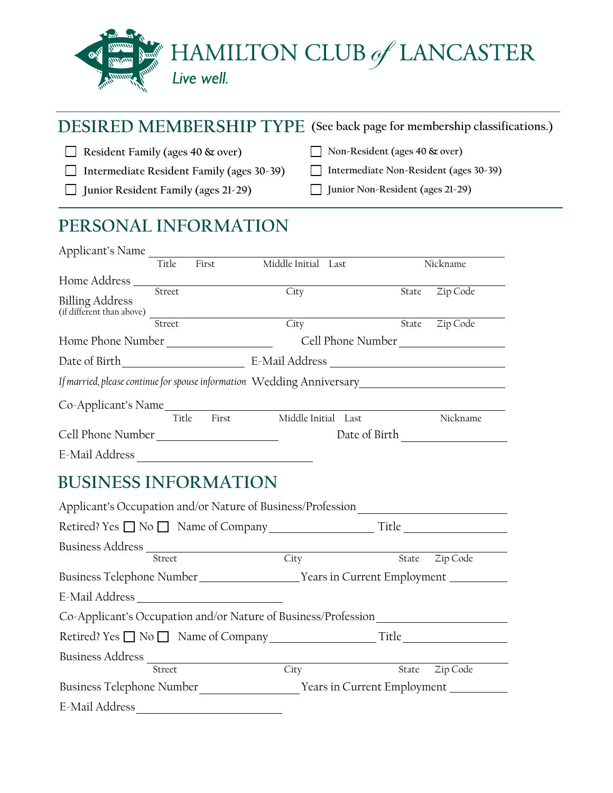

### **DESIRED MEMBERSHIP TYPE (See back page for membership classifications.)**

**Resident Family (ages 40 & over)**

**Junior Resident Family (ages 21-29)**

- **Intermediate Resident Family (ages 30-39)**
- **Non-Resident (ages 40 & over)**
- **Intermediate Non-Resident (ages 30-39)**
	- **Junior Non-Resident (ages 21-29)**

# **PERSONAL INFORMATION**

| Applicant's Name                                                       |        |       |                     |  |       |          |
|------------------------------------------------------------------------|--------|-------|---------------------|--|-------|----------|
|                                                                        | Title  | First | Middle Initial Last |  |       | Nickname |
| Home Address                                                           |        |       |                     |  |       |          |
| <b>Billing Address</b>                                                 | Street |       | City                |  | State | Zip Code |
| (if different than above)                                              |        |       |                     |  |       |          |
|                                                                        | Street |       | City                |  | State | Zip Code |
| Home Phone Number                                                      |        |       | Cell Phone Number   |  |       |          |
| Date of Birth                                                          |        |       | E-Mail Address      |  |       |          |
| If married, please continue for spouse information Wedding Anniversary |        |       |                     |  |       |          |
| Co-Applicant's Name                                                    |        |       |                     |  |       |          |
|                                                                        | Title  | First | Middle Initial Last |  |       | Nickname |
| Cell Phone Number                                                      |        |       | Date of Birth       |  |       |          |
|                                                                        |        |       |                     |  |       |          |

E-Mail Address

# **BUSINESS INFORMATION**

| Applicant's Occupation and/or Nature of Business/Profession                 |                   |                             |
|-----------------------------------------------------------------------------|-------------------|-----------------------------|
|                                                                             |                   | Title                       |
| Street                                                                      | $\overline{City}$ | Zip Code<br>State           |
|                                                                             |                   |                             |
| Business Telephone Number ______________________Years in Current Employment |                   |                             |
|                                                                             |                   |                             |
| Co-Applicant's Occupation and/or Nature of Business/Profession              |                   |                             |
|                                                                             |                   |                             |
| Business Address                                                            |                   |                             |
| Street                                                                      | City              | Zip Code<br>State           |
| Business Telephone Number                                                   |                   | Years in Current Employment |
| E-Mail Address                                                              |                   |                             |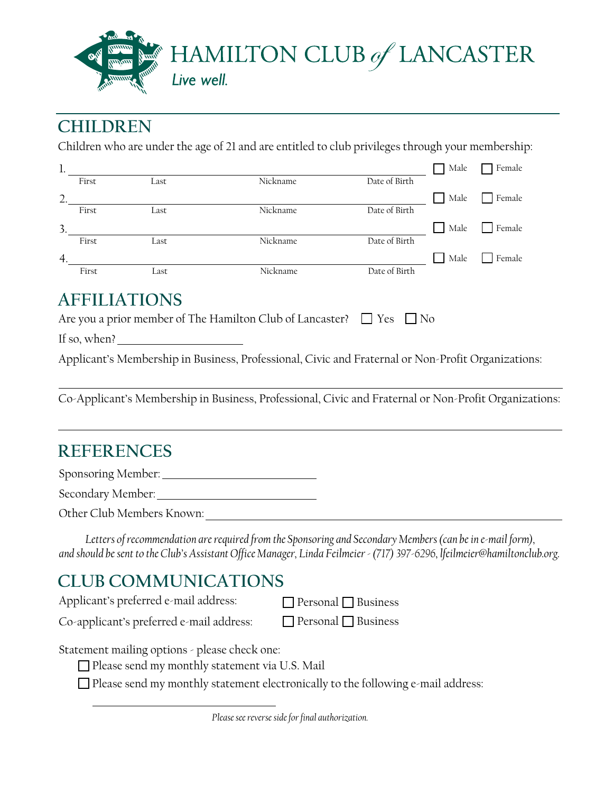

### **CHILDREN**

Children who are under the age of 21 and are entitled to club privileges through your membership:

| π.               |       |      |          |               | Male | Female |
|------------------|-------|------|----------|---------------|------|--------|
|                  | First | Last | Nickname | Date of Birth |      |        |
| $\overline{2}$ . |       |      |          |               | Male | Female |
|                  | First | Last | Nickname | Date of Birth |      |        |
| 3.               |       |      |          |               | Male | Female |
|                  | First | Last | Nickname | Date of Birth |      |        |
| 4.               |       |      |          |               | Male | Female |
|                  | First | Last | Nickname | Date of Birth |      |        |

### **AFFILIATIONS**

| Are you a prior member of The Hamilton Club of Lancaster? $\Box$ Yes $\Box$ No |  |  |
|--------------------------------------------------------------------------------|--|--|
|--------------------------------------------------------------------------------|--|--|

If so, when?

Applicant's Membership in Business, Professional, Civic and Fraternal or Non-Profit Organizations:

Co-Applicant's Membership in Business, Professional, Civic and Fraternal or Non-Profit Organizations:

# **REFERENCES**

Sponsoring Member:

Secondary Member:

Other Club Members Known:

*Letters of recommendation are required from the Sponsoring and Secondary Members (can be in e-mail form), and should be sent to the Club's Assistant Office Manager, Linda Feilmeier - (717) 397-6296, lfeilmeier@hamiltonclub.org.* 

### **CLUB COMMUNICATIONS**

Applicant's preferred e-mail address:

 $\Box$  Personal  $\Box$  Business

Co-applicant's preferred e-mail address:

 $\Box$  Personal  $\Box$  Business

Statement mailing options - please check one:

 $\square$  Please send my monthly statement via U.S. Mail

 $\square$  Please send my monthly statement electronically to the following e-mail address: